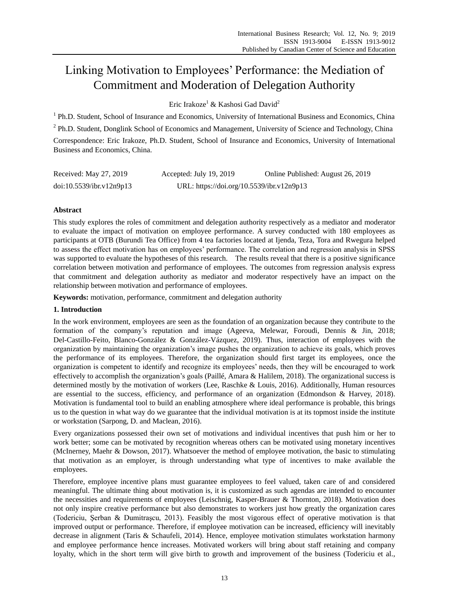# Linking Motivation to Employees' Performance: the Mediation of Commitment and Moderation of Delegation Authority

Eric Irakoze<sup>1</sup> & Kashosi Gad David<sup>2</sup>

<sup>1</sup> Ph.D. Student, School of Insurance and Economics, University of International Business and Economics, China <sup>2</sup> Ph.D. Student, Donglink School of Economics and Management, University of Science and Technology, China Correspondence: Eric Irakoze, Ph.D. Student, School of Insurance and Economics, University of International Business and Economics, China.

| Received: May 27, 2019   | Accepted: July 19, 2019                   | Online Published: August 26, 2019 |
|--------------------------|-------------------------------------------|-----------------------------------|
| doi:10.5539/ibr.v12n9p13 | URL: https://doi.org/10.5539/ibr.v12n9p13 |                                   |

## **Abstract**

This study explores the roles of commitment and delegation authority respectively as a mediator and moderator to evaluate the impact of motivation on employee performance. A survey conducted with 180 employees as participants at OTB (Burundi Tea Office) from 4 tea factories located at Ijenda, Teza, Tora and Rwegura helped to assess the effect motivation has on employees' performance. The correlation and regression analysis in SPSS was supported to evaluate the hypotheses of this research. The results reveal that there is a positive significance correlation between motivation and performance of employees. The outcomes from regression analysis express that commitment and delegation authority as mediator and moderator respectively have an impact on the relationship between motivation and performance of employees.

**Keywords:** motivation, performance, commitment and delegation authority

### **1. Introduction**

In the work environment, employees are seen as the foundation of an organization because they contribute to the formation of the company's reputation and image (Ageeva, Melewar, Foroudi, Dennis & Jin, 2018; Del-Castillo-Feito, Blanco-Gonz ález & Gonz ález-V ázquez, 2019). Thus, interaction of employees with the organization by maintaining the organization's image pushes the organization to achieve its goals, which proves the performance of its employees. Therefore, the organization should first target its employees, once the organization is competent to identify and recognize its employees' needs, then they will be encouraged to work effectively to accomplish the organization's goals (Paillé, Amara & Halilem, 2018). The organizational success is determined mostly by the motivation of workers (Lee, Raschke & Louis, 2016). Additionally, Human resources are essential to the success, efficiency, and performance of an organization (Edmondson & Harvey, 2018). Motivation is fundamental tool to build an enabling atmosphere where ideal performance is probable, this brings us to the question in what way do we guarantee that the individual motivation is at its topmost inside the institute or workstation (Sarpong, D. and Maclean, 2016).

Every organizations possessed their own set of motivations and individual incentives that push him or her to work better; some can be motivated by recognition whereas others can be motivated using monetary incentives (McInerney, Maehr & Dowson, 2017). Whatsoever the method of employee motivation, the basic to stimulating that motivation as an employer, is through understanding what type of incentives to make available the employees.

Therefore, employee incentive plans must guarantee employees to feel valued, taken care of and considered meaningful. The ultimate thing about motivation is, it is customized as such agendas are intended to encounter the necessities and requirements of employees (Leischnig, Kasper-Brauer & Thornton, 2018). Motivation does not only inspire creative performance but also demonstrates to workers just how greatly the organization cares (Todericiu, Şerban & Dumitraşcu, 2013). Feasibly the most vigorous effect of operative motivation is that improved output or performance. Therefore, if employee motivation can be increased, efficiency will inevitably decrease in alignment (Taris & Schaufeli, 2014). Hence, employee motivation stimulates workstation harmony and employee performance hence increases. Motivated workers will bring about staff retaining and company loyalty, which in the short term will give birth to growth and improvement of the business (Todericiu et al.,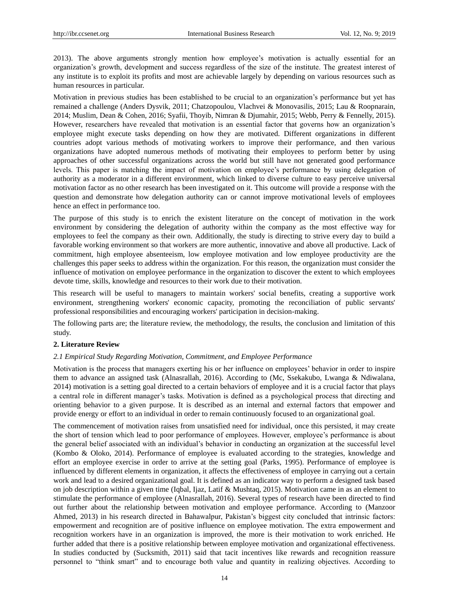2013). The above arguments strongly mention how employee's motivation is actually essential for an organization's growth, development and success regardless of the size of the institute. The greatest interest of any institute is to exploit its profits and most are achievable largely by depending on various resources such as human resources in particular.

Motivation in previous studies has been established to be crucial to an organization's performance but yet has remained a challenge (Anders Dysvik, 2011; Chatzopoulou, Vlachvei & Monovasilis, 2015; Lau & Roopnarain, 2014; Muslim, Dean & Cohen, 2016; Syafii, Thoyib, Nimran & Djumahir, 2015; Webb, Perry & Fennelly, 2015). However, researchers have revealed that motivation is an essential factor that governs how an organization's employee might execute tasks depending on how they are motivated. Different organizations in different countries adopt various methods of motivating workers to improve their performance, and then various organizations have adopted numerous methods of motivating their employees to perform better by using approaches of other successful organizations across the world but still have not generated good performance levels. This paper is matching the impact of motivation on employee's performance by using delegation of authority as a moderator in a different environment, which linked to diverse culture to easy perceive universal motivation factor as no other research has been investigated on it. This outcome will provide a response with the question and demonstrate how delegation authority can or cannot improve motivational levels of employees hence an effect in performance too.

The purpose of this study is to enrich the existent literature on the concept of motivation in the work environment by considering the delegation of authority within the company as the most effective way for employees to feel the company as their own. Additionally, the study is directing to strive every day to build a favorable working environment so that workers are more authentic, innovative and above all productive. Lack of commitment, high employee absenteeism, low employee motivation and low employee productivity are the challenges this paper seeks to address within the organization. For this reason, the organization must consider the influence of motivation on employee performance in the organization to discover the extent to which employees devote time, skills, knowledge and resources to their work due to their motivation.

This research will be useful to managers to maintain workers' social benefits, creating a supportive work environment, strengthening workers' economic capacity, promoting the reconciliation of public servants' professional responsibilities and encouraging workers' participation in decision-making.

The following parts are; the literature review, the methodology, the results, the conclusion and limitation of this study.

#### **2. Literature Review**

#### *2.1 Empirical Study Regarding Motivation, Commitment, and Employee Performance*

Motivation is the process that managers exerting his or her influence on employees' behavior in order to inspire them to advance an assigned task (Alnasrallah, 2016). According to (Mc, Ssekakubo, Lwanga & Ndiwalana, 2014) motivation is a setting goal directed to a certain behaviors of employee and it is a crucial factor that plays a central role in different manager's tasks. Motivation is defined as a psychological process that directing and orienting behavior to a given purpose. It is described as an internal and external factors that empower and provide energy or effort to an individual in order to remain continuously focused to an organizational goal.

The commencement of motivation raises from unsatisfied need for individual, once this persisted, it may create the short of tension which lead to poor performance of employees. However, employee's performance is about the general belief associated with an individual's behavior in conducting an organization at the successful level (Kombo & Oloko, 2014). Performance of employee is evaluated according to the strategies, knowledge and effort an employee exercise in order to arrive at the setting goal (Parks, 1995). Performance of employee is influenced by different elements in organization, it affects the effectiveness of employee in carrying out a certain work and lead to a desired organizational goal. It is defined as an indicator way to perform a designed task based on job description within a given time (Iqbal, Ijaz, Latif & Mushtaq, 2015). Motivation came in as an element to stimulate the performance of employee (Alnasrallah, 2016). Several types of research have been directed to find out further about the relationship between motivation and employee performance. According to (Manzoor Ahmed, 2013) in his research directed in Bahawalpur, Pakistan's biggest city concluded that intrinsic factors: empowerment and recognition are of positive influence on employee motivation. The extra empowerment and recognition workers have in an organization is improved, the more is their motivation to work enriched. He further added that there is a positive relationship between employee motivation and organizational effectiveness. In studies conducted by (Sucksmith, 2011) said that tacit incentives like rewards and recognition reassure personnel to "think smart" and to encourage both value and quantity in realizing objectives. According to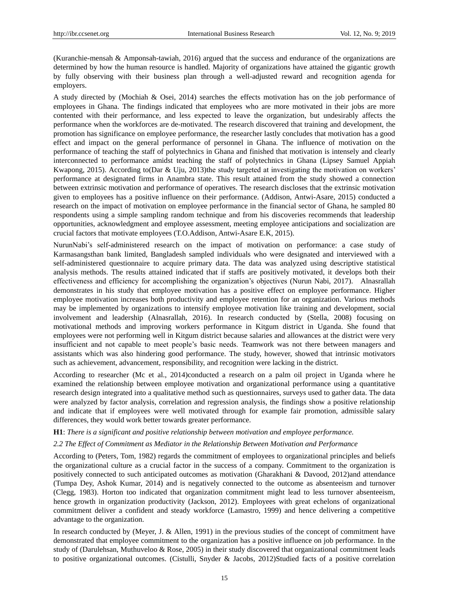(Kuranchie-mensah & Amponsah-tawiah, 2016) argued that the success and endurance of the organizations are determined by how the human resource is handled. Majority of organizations have attained the gigantic growth by fully observing with their business plan through a well-adjusted reward and recognition agenda for employers.

A study directed by (Mochiah & Osei, 2014) searches the effects motivation has on the job performance of employees in Ghana. The findings indicated that employees who are more motivated in their jobs are more contented with their performance, and less expected to leave the organization, but undesirably affects the performance when the workforces are de-motivated. The research discovered that training and development, the promotion has significance on employee performance, the researcher lastly concludes that motivation has a good effect and impact on the general performance of personnel in Ghana. The influence of motivation on the performance of teaching the staff of polytechnics in Ghana and finished that motivation is intensely and clearly interconnected to performance amidst teaching the staff of polytechnics in Ghana (Lipsey Samuel Appiah Kwapong, 2015). According to(Dar & Uju, 2013)the study targeted at investigating the motivation on workers' performance at designated firms in Anambra state. This result attained from the study showed a connection between extrinsic motivation and performance of operatives. The research discloses that the extrinsic motivation given to employees has a positive influence on their performance. (Addison, Antwi-Asare, 2015) conducted a research on the impact of motivation on employee performance in the financial sector of Ghana, he sampled 80 respondents using a simple sampling random technique and from his discoveries recommends that leadership opportunities, acknowledgment and employee assessment, meeting employee anticipations and socialization are crucial factors that motivate employees (T.O.Addison, Antwi-Asare E.K, 2015).

NurunNabi's self-administered research on the impact of motivation on performance: a case study of Karmasangsthan bank limited, Bangladesh sampled individuals who were designated and interviewed with a self-administered questionnaire to acquire primary data. The data was analyzed using descriptive statistical analysis methods. The results attained indicated that if staffs are positively motivated, it develops both their effectiveness and efficiency for accomplishing the organization's objectives (Nurun Nabi, 2017). Alnasrallah demonstrates in his study that employee motivation has a positive effect on employee performance. Higher employee motivation increases both productivity and employee retention for an organization. Various methods may be implemented by organizations to intensify employee motivation like training and development, social involvement and leadership (Alnasrallah, 2016). In research conducted by (Stella, 2008) focusing on motivational methods and improving workers performance in Kitgum district in Uganda. She found that employees were not performing well in Kitgum district because salaries and allowances at the district were very insufficient and not capable to meet people's basic needs. Teamwork was not there between managers and assistants which was also hindering good performance. The study, however, showed that intrinsic motivators such as achievement, advancement, responsibility, and recognition were lacking in the district.

According to researcher (Mc et al., 2014)conducted a research on a palm oil project in Uganda where he examined the relationship between employee motivation and organizational performance using a quantitative research design integrated into a qualitative method such as questionnaires, surveys used to gather data. The data were analyzed by factor analysis, correlation and regression analysis, the findings show a positive relationship and indicate that if employees were well motivated through for example fair promotion, admissible salary differences, they would work better towards greater performance.

#### **H1**: *There is a significant and positive relationship between motivation and employee performance.*

#### *2.2 The Effect of Commitment as Mediator in the Relationship Between Motivation and Performance*

According to (Peters, Tom, 1982) regards the commitment of employees to organizational principles and beliefs the organizational culture as a crucial factor in the success of a company. Commitment to the organization is positively connected to such anticipated outcomes as motivation (Gharakhani & Davood, 2012)and attendance (Tumpa Dey, Ashok Kumar, 2014) and is negatively connected to the outcome as absenteeism and turnover (Clegg, 1983). Horton too indicated that organization commitment might lead to less turnover absenteeism, hence growth in organization productivity (Jackson, 2012). Employees with great echelons of organizational commitment deliver a confident and steady workforce (Lamastro, 1999) and hence delivering a competitive advantage to the organization.

In research conducted by (Meyer, J. & Allen, 1991) in the previous studies of the concept of commitment have demonstrated that employee commitment to the organization has a positive influence on job performance. In the study of (Darulehsan, Muthuveloo & Rose, 2005) in their study discovered that organizational commitment leads to positive organizational outcomes. (Cistulli, Snyder & Jacobs, 2012)Studied facts of a positive correlation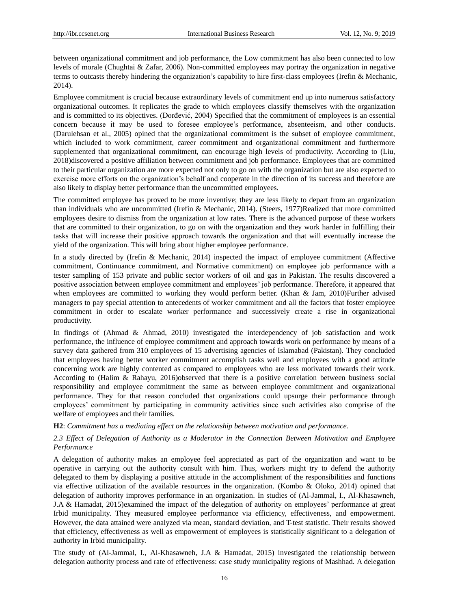between organizational commitment and job performance, the Low commitment has also been connected to low levels of morale (Chughtai & Zafar, 2006). Non-committed employees may portray the organization in negative terms to outcasts thereby hindering the organization's capability to hire first-class employees (Irefin & Mechanic, 2014).

Employee commitment is crucial because extraordinary levels of commitment end up into numerous satisfactory organizational outcomes. It replicates the grade to which employees classify themselves with the organization and is committed to its objectives. (Đorđević, 2004) Specified that the commitment of employees is an essential concern because it may be used to foresee employee's performance, absenteeism, and other conducts. (Darulehsan et al., 2005) opined that the organizational commitment is the subset of employee commitment, which included to work commitment, career commitment and organizational commitment and furthermore supplemented that organizational commitment, can encourage high levels of productivity. According to (Liu, 2018)discovered a positive affiliation between commitment and job performance. Employees that are committed to their particular organization are more expected not only to go on with the organization but are also expected to exercise more efforts on the organization's behalf and cooperate in the direction of its success and therefore are also likely to display better performance than the uncommitted employees.

The committed employee has proved to be more inventive; they are less likely to depart from an organization than individuals who are uncommitted (Irefin & Mechanic, 2014). (Steers, 1977)Realized that more committed employees desire to dismiss from the organization at low rates. There is the advanced purpose of these workers that are committed to their organization, to go on with the organization and they work harder in fulfilling their tasks that will increase their positive approach towards the organization and that will eventually increase the yield of the organization. This will bring about higher employee performance.

In a study directed by (Irefin & Mechanic, 2014) inspected the impact of employee commitment (Affective commitment, Continuance commitment, and Normative commitment) on employee job performance with a tester sampling of 153 private and public sector workers of oil and gas in Pakistan. The results discovered a positive association between employee commitment and employees' job performance. Therefore, it appeared that when employees are committed to working they would perform better. (Khan & Jam, 2010)Further advised managers to pay special attention to antecedents of worker commitment and all the factors that foster employee commitment in order to escalate worker performance and successively create a rise in organizational productivity.

In findings of (Ahmad & Ahmad, 2010) investigated the interdependency of job satisfaction and work performance, the influence of employee commitment and approach towards work on performance by means of a survey data gathered from 310 employees of 15 advertising agencies of Islamabad (Pakistan). They concluded that employees having better worker commitment accomplish tasks well and employees with a good attitude concerning work are highly contented as compared to employees who are less motivated towards their work. According to (Halim & Rahayu, 2016)observed that there is a positive correlation between business social responsibility and employee commitment the same as between employee commitment and organizational performance. They for that reason concluded that organizations could upsurge their performance through employees' commitment by participating in community activities since such activities also comprise of the welfare of employees and their families.

**H2**: *Commitment has a mediating effect on the relationship between motivation and performance.*

#### *2.3 Effect of Delegation of Authority as a Moderator in the Connection Between Motivation and Employee Performance*

A delegation of authority makes an employee feel appreciated as part of the organization and want to be operative in carrying out the authority consult with him. Thus, workers might try to defend the authority delegated to them by displaying a positive attitude in the accomplishment of the responsibilities and functions via effective utilization of the available resources in the organization. (Kombo & Oloko, 2014) opined that delegation of authority improves performance in an organization. In studies of (Al-Jammal, I., Al-Khasawneh, J.A & Hamadat, 2015)examined the impact of the delegation of authority on employees' performance at great Irbid municipality. They measured employee performance via efficiency, effectiveness, and empowerment. However, the data attained were analyzed via mean, standard deviation, and T-test statistic. Their results showed that efficiency, effectiveness as well as empowerment of employees is statistically significant to a delegation of authority in Irbid municipality.

The study of (Al-Jammal, I., Al-Khasawneh, J.A & Hamadat, 2015) investigated the relationship between delegation authority process and rate of effectiveness: case study municipality regions of Mashhad. A delegation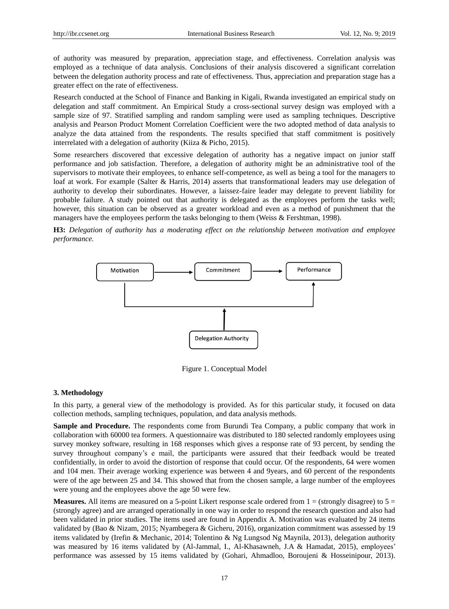of authority was measured by preparation, appreciation stage, and effectiveness. Correlation analysis was employed as a technique of data analysis. Conclusions of their analysis discovered a significant correlation between the delegation authority process and rate of effectiveness. Thus, appreciation and preparation stage has a greater effect on the rate of effectiveness.

Research conducted at the School of Finance and Banking in Kigali, Rwanda investigated an empirical study on delegation and staff commitment. An Empirical Study a cross-sectional survey design was employed with a sample size of 97. Stratified sampling and random sampling were used as sampling techniques. Descriptive analysis and Pearson Product Moment Correlation Coefficient were the two adopted method of data analysis to analyze the data attained from the respondents. The results specified that staff commitment is positively interrelated with a delegation of authority (Kiiza & Picho, 2015).

Some researchers discovered that excessive delegation of authority has a negative impact on junior staff performance and job satisfaction. Therefore, a delegation of authority might be an administrative tool of the supervisors to motivate their employees, to enhance self-competence, as well as being a tool for the managers to loaf at work. For example (Salter & Harris, 2014) asserts that transformational leaders may use delegation of authority to develop their subordinates. However, a laissez-faire leader may delegate to prevent liability for probable failure. A study pointed out that authority is delegated as the employees perform the tasks well; however, this situation can be observed as a greater workload and even as a method of punishment that the managers have the employees perform the tasks belonging to them (Weiss & Fershtman, 1998).





Figure 1. Conceptual Model

#### **3. Methodology**

In this party, a general view of the methodology is provided. As for this particular study, it focused on data collection methods, sampling techniques, population, and data analysis methods.

**Sample and Procedure.** The respondents come from Burundi Tea Company, a public company that work in collaboration with 60000 tea formers. A questionnaire was distributed to 180 selected randomly employees using survey monkey software, resulting in 168 responses which gives a response rate of 93 percent, by sending the survey throughout company's e mail, the participants were assured that their feedback would be treated confidentially, in order to avoid the distortion of response that could occur. Of the respondents, 64 were women and 104 men. Their average working experience was between 4 and 9years, and 60 percent of the respondents were of the age between 25 and 34. This showed that from the chosen sample, a large number of the employees were young and the employees above the age 50 were few.

**Measures.** All items are measured on a 5-point Likert response scale ordered from  $1 =$  (strongly disagree) to  $5 =$ (strongly agree) and are arranged operationally in one way in order to respond the research question and also had been validated in prior studies. The items used are found in Appendix A. Motivation was evaluated by 24 items validated by (Bao & Nizam, 2015; Nyambegera & Gicheru, 2016), organization commitment was assessed by 19 items validated by (Irefin & Mechanic, 2014; Tolentino & Ng Lungsod Ng Maynila, 2013), delegation authority was measured by 16 items validated by (Al-Jammal, I., Al-Khasawneh, J.A & Hamadat, 2015), employees' performance was assessed by 15 items validated by (Gohari, Ahmadloo, Boroujeni & Hosseinipour, 2013).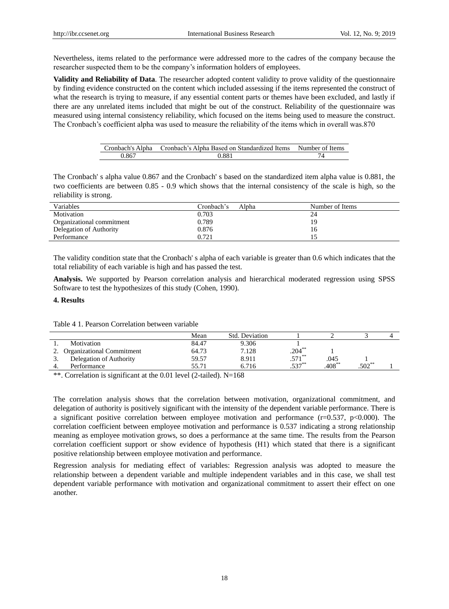Nevertheless, items related to the performance were addressed more to the cadres of the company because the researcher suspected them to be the company's information holders of employees.

**Validity and Reliability of Data**. The researcher adopted content validity to prove validity of the questionnaire by finding evidence constructed on the content which included assessing if the items represented the construct of what the research is trying to measure, if any essential content parts or themes have been excluded, and lastly if there are any unrelated items included that might be out of the construct. Reliability of the questionnaire was measured using internal consistency reliability, which focused on the items being used to measure the construct. The Cronbach's coefficient alpha was used to measure the reliability of the items which in overall was.870

| Cronbach's Alpha | Cronbach's Alpha Based on Standardized Items | Number of Items |
|------------------|----------------------------------------------|-----------------|
| 0.867            | 0.881                                        |                 |

The Cronbach' s alpha value 0.867 and the Cronbach' s based on the standardized item alpha value is 0.881, the two coefficients are between 0.85 - 0.9 which shows that the internal consistency of the scale is high, so the reliability is strong.

| Variables                 | Cronbach's<br>Alpha | Number of Items |
|---------------------------|---------------------|-----------------|
| Motivation                | 0.703               | 24              |
| Organizational commitment | 0.789               | 19              |
| Delegation of Authority   | 0.876               |                 |
| Performance               | 0.721               |                 |

The validity condition state that the Cronbach' s alpha of each variable is greater than 0.6 which indicates that the total reliability of each variable is high and has passed the test.

**Analysis.** We supported by Pearson correlation analysis and hierarchical moderated regression using SPSS Software to test the hypothesizes of this study (Cohen, 1990).

#### **4. Results**

Table 4 1. Pearson Correlation between variable

|    |                                  | Mean  | Std. Deviation |           |             |          |  |
|----|----------------------------------|-------|----------------|-----------|-------------|----------|--|
|    | Motivation                       | 84.47 | 9.306          |           |             |          |  |
| 2. | <b>Organizational Commitment</b> | 64.73 | 7.128          | $.204***$ |             |          |  |
|    | Delegation of Authority          | 59.57 | 8.911          | $.571***$ | .045        |          |  |
|    | Performance                      | 55.71 | 6.716          | $.537***$ | $.408^{**}$ | $.502**$ |  |

\*\*. Correlation is significant at the 0.01 level (2-tailed). N=168

The correlation analysis shows that the correlation between motivation, organizational commitment, and delegation of authority is positively significant with the intensity of the dependent variable performance. There is a significant positive correlation between employee motivation and performance  $(r=0.537, p<0.000)$ . The correlation coefficient between employee motivation and performance is 0.537 indicating a strong relationship meaning as employee motivation grows, so does a performance at the same time. The results from the Pearson correlation coefficient support or show evidence of hypothesis (H1) which stated that there is a significant positive relationship between employee motivation and performance.

Regression analysis for mediating effect of variables: Regression analysis was adopted to measure the relationship between a dependent variable and multiple independent variables and in this case, we shall test dependent variable performance with motivation and organizational commitment to assert their effect on one another.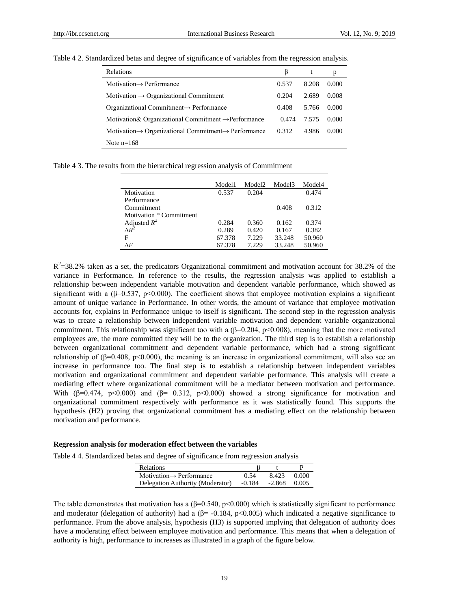| <b>Relations</b>                                                             | B     | t     | p     |
|------------------------------------------------------------------------------|-------|-------|-------|
| Motivation $\rightarrow$ Performance                                         | 0.537 | 8.208 | 0.000 |
| Motivation $\rightarrow$ Organizational Commitment                           | 0.204 | 2.689 | 0.008 |
| Organizational Commitment $\rightarrow$ Performance                          | 0.408 | 5.766 | 0.000 |
| Motivation & Organizational Commitment $\rightarrow$ Performance             | 0.474 | 7.575 | 0.000 |
| Motivation $\rightarrow$ Organizational Commitment $\rightarrow$ Performance | 0.312 | 4.986 | 0.000 |
| Note $n=168$                                                                 |       |       |       |

Table 4 2. Standardized betas and degree of significance of variables from the regression analysis.

Table 4 3. The results from the hierarchical regression analysis of Commitment

|                                | Model1 | Model <sub>2</sub> | Model3 | Model4 |
|--------------------------------|--------|--------------------|--------|--------|
| Motivation                     | 0.537  | 0.204              |        | 0.474  |
| Performance                    |        |                    |        |        |
| Commitment                     |        |                    | 0.408  | 0.312  |
| Motivation * Commitment        |        |                    |        |        |
| Adjusted $R^2$<br>$\Delta R^2$ | 0.284  | 0.360              | 0.162  | 0.374  |
|                                | 0.289  | 0.420              | 0.167  | 0.382  |
| F                              | 67.378 | 7.229              | 33.248 | 50.960 |
| ΛF                             | 67.378 | 7.229              | 33.248 | 50.960 |

 $R^2$ =38.2% taken as a set, the predicators Organizational commitment and motivation account for 38.2% of the variance in Performance. In reference to the results, the regression analysis was applied to establish a relationship between independent variable motivation and dependent variable performance, which showed as significant with a ( $\beta$ =0.537, p<0.000). The coefficient shows that employee motivation explains a significant amount of unique variance in Performance. In other words, the amount of variance that employee motivation accounts for, explains in Performance unique to itself is significant. The second step in the regression analysis was to create a relationship between independent variable motivation and dependent variable organizational commitment. This relationship was significant too with a ( $\beta$ =0.204, p<0.008), meaning that the more motivated employees are, the more committed they will be to the organization. The third step is to establish a relationship between organizational commitment and dependent variable performance, which had a strong significant relationship of (β=0.408, p<0.000), the meaning is an increase in organizational commitment, will also see an increase in performance too. The final step is to establish a relationship between independent variables motivation and organizational commitment and dependent variable performance. This analysis will create a mediating effect where organizational commitment will be a mediator between motivation and performance. With ( $\beta$ =0.474, p<0.000) and ( $\beta$ = 0.312, p<0.000) showed a strong significance for motivation and organizational commitment respectively with performance as it was statistically found. This supports the hypothesis (H2) proving that organizational commitment has a mediating effect on the relationship between motivation and performance.

#### **Regression analysis for moderation effect between the variables**

Table 4 4. Standardized betas and degree of significance from regression analysis

| <b>Relations</b>                               |      |       | р       |
|------------------------------------------------|------|-------|---------|
| $Motivation \rightarrow Performance$           | 0.54 | 8.423 | - 0.000 |
| Delegation Authority (Moderator) -0.184 -2.868 |      |       | 0.005   |

The table demonstrates that motivation has a ( $\beta$ =0.540, p<0.000) which is statistically significant to performance and moderator (delegation of authority) had a ( $\beta$ = -0.184, p<0.005) which indicated a negative significance to performance. From the above analysis, hypothesis (H3) is supported implying that delegation of authority does have a moderating effect between employee motivation and performance. This means that when a delegation of authority is high, performance to increases as illustrated in a graph of the figure below.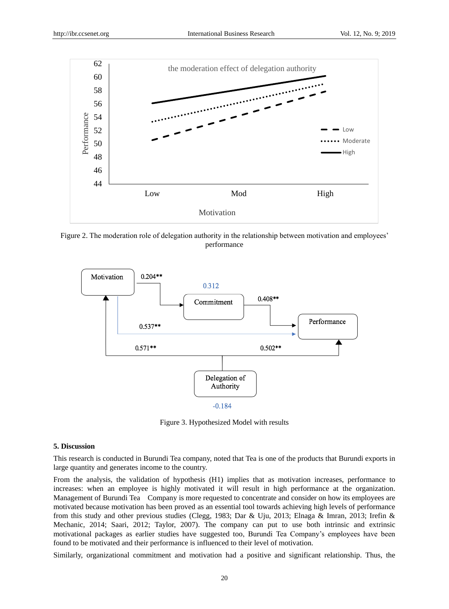

Figure 2. The moderation role of delegation authority in the relationship between motivation and employees' performance



Figure 3. Hypothesized Model with results

#### **5. Discussion**

This research is conducted in Burundi Tea company, noted that Tea is one of the products that Burundi exports in large quantity and generates income to the country.

From the analysis, the validation of hypothesis (H1) implies that as motivation increases, performance to increases: when an employee is highly motivated it will result in high performance at the organization. Management of Burundi Tea Company is more requested to concentrate and consider on how its employees are motivated because motivation has been proved as an essential tool towards achieving high levels of performance from this study and other previous studies (Clegg, 1983; Dar & Uju, 2013; Elnaga & Imran, 2013; Irefin & Mechanic, 2014; Saari, 2012; Taylor, 2007). The company can put to use both intrinsic and extrinsic motivational packages as earlier studies have suggested too, Burundi Tea Company's employees have been found to be motivated and their performance is influenced to their level of motivation.

Similarly, organizational commitment and motivation had a positive and significant relationship. Thus, the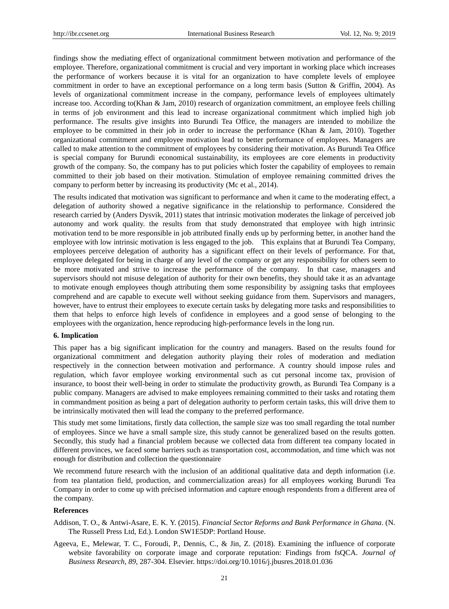findings show the mediating effect of organizational commitment between motivation and performance of the employee. Therefore, organizational commitment is crucial and very important in working place which increases the performance of workers because it is vital for an organization to have complete levels of employee commitment in order to have an exceptional performance on a long term basis (Sutton & Griffin, 2004). As levels of organizational commitment increase in the company, performance levels of employees ultimately increase too. According to(Khan & Jam, 2010) research of organization commitment, an employee feels chilling in terms of job environment and this lead to increase organizational commitment which implied high job performance. The results give insights into Burundi Tea Office, the managers are intended to mobilize the employee to be committed in their job in order to increase the performance (Khan & Jam, 2010). Together organizational commitment and employee motivation lead to better performance of employees. Managers are called to make attention to the commitment of employees by considering their motivation. As Burundi Tea Office is special company for Burundi economical sustainability, its employees are core elements in productivity growth of the company. So, the company has to put policies which foster the capability of employees to remain committed to their job based on their motivation. Stimulation of employee remaining committed drives the company to perform better by increasing its productivity (Mc et al., 2014).

The results indicated that motivation was significant to performance and when it came to the moderating effect, a delegation of authority showed a negative significance in the relationship to performance. Considered the research carried by (Anders Dysvik, 2011) states that intrinsic motivation moderates the linkage of perceived job autonomy and work quality. the results from that study demonstrated that employee with high intrinsic motivation tend to be more responsible in job attributed finally ends up by performing better, in another hand the employee with low intrinsic motivation is less engaged to the job. This explains that at Burundi Tea Company, employees perceive delegation of authority has a significant effect on their levels of performance. For that, employee delegated for being in charge of any level of the company or get any responsibility for others seem to be more motivated and strive to increase the performance of the company. In that case, managers and supervisors should not misuse delegation of authority for their own benefits, they should take it as an advantage to motivate enough employees though attributing them some responsibility by assigning tasks that employees comprehend and are capable to execute well without seeking guidance from them. Supervisors and managers, however, have to entrust their employees to execute certain tasks by delegating more tasks and responsibilities to them that helps to enforce high levels of confidence in employees and a good sense of belonging to the employees with the organization, hence reproducing high-performance levels in the long run.

#### **6. Implication**

This paper has a big significant implication for the country and managers. Based on the results found for organizational commitment and delegation authority playing their roles of moderation and mediation respectively in the connection between motivation and performance. A country should impose rules and regulation, which favor employee working environmental such as cut personal income tax, provision of insurance, to boost their well-being in order to stimulate the productivity growth, as Burundi Tea Company is a public company. Managers are advised to make employees remaining committed to their tasks and rotating them in commandment position as being a part of delegation authority to perform certain tasks, this will drive them to be intrinsically motivated then will lead the company to the preferred performance.

This study met some limitations, firstly data collection, the sample size was too small regarding the total number of employees. Since we have a small sample size, this study cannot be generalized based on the results gotten. Secondly, this study had a financial problem because we collected data from different tea company located in different provinces, we faced some barriers such as transportation cost, accommodation, and time which was not enough for distribution and collection the questionnaire

We recommend future research with the inclusion of an additional qualitative data and depth information (i.e. from tea plantation field, production, and commercialization areas) for all employees working Burundi Tea Company in order to come up with précised information and capture enough respondents from a different area of the company.

#### **References**

- Addison, T. O., & Antwi-Asare, E. K. Y. (2015). *Financial Sector Reforms and Bank Performance in Ghana*. (N. The Russell Press Ltd, Ed.). London SW1E5DP: Portland House.
- Ageeva, E., Melewar, T. C., Foroudi, P., Dennis, C., & Jin, Z. (2018). Examining the influence of corporate website favorability on corporate image and corporate reputation: Findings from fsQCA. *Journal of Business Research*, *89*, 287-304. Elsevier. https://doi.org/10.1016/j.jbusres.2018.01.036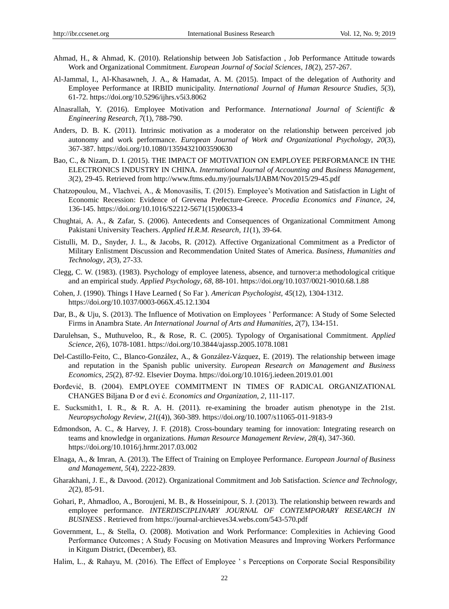- Ahmad, H., & Ahmad, K. (2010). Relationship between Job Satisfaction , Job Performance Attitude towards Work and Organizational Commitment. *European Journal of Social Sciences*, *18*(2), 257-267.
- Al-Jammal, I., Al-Khasawneh, J. A., & Hamadat, A. M. (2015). Impact of the delegation of Authority and Employee Performance at IRBID municipality. *International Journal of Human Resource Studies*, *5*(3), 61-72. https://doi.org/10.5296/ijhrs.v5i3.8062
- Alnasrallah, Y. (2016). Employee Motivation and Performance. *International Journal of Scientific & Engineering Research*, *7*(1), 788-790.
- Anders, D. B. K. (2011). Intrinsic motivation as a moderator on the relationship between perceived job autonomy and work performance. *European Journal of Work and Organizational Psychology*, *20*(3), 367-387. https://doi.org/10.1080/13594321003590630
- Bao, C., & Nizam, D. I. (2015). THE IMPACT OF MOTIVATION ON EMPLOYEE PERFORMANCE IN THE ELECTRONICS INDUSTRY IN CHINA. *International Journal of Accounting and Business Management*, *3*(2), 29-45. Retrieved from http://www.ftms.edu.my/journals/IJABM/Nov2015/29-45.pdf
- Chatzopoulou, M., Vlachvei, A., & Monovasilis, T. (2015). Employee's Motivation and Satisfaction in Light of Economic Recession: Evidence of Grevena Prefecture-Greece. *Procedia Economics and Finance*, *24*, 136-145. https://doi.org/10.1016/S2212-5671(15)00633-4
- Chughtai, A. A., & Zafar, S. (2006). Antecedents and Consequences of Organizational Commitment Among Pakistani University Teachers. *Applied H.R.M. Research*, *11*(1), 39-64.
- Cistulli, M. D., Snyder, J. L., & Jacobs, R. (2012). Affective Organizational Commitment as a Predictor of Military Enlistment Discussion and Recommendation United States of America. *Business, Humanities and Technology*, *2*(3), 27-33.
- Clegg, C. W. (1983). (1983). Psychology of employee lateness, absence, and turnover:a methodological critique and an empirical study. *Applied Psychology*, *68,* 88-101. https://doi.org/10.1037/0021-9010.68.1.88
- Cohen, J. (1990). Things I Have Learned ( So Far ). *American Psychologist*, *45*(12), 1304-1312. https://doi.org/10.1037/0003-066X.45.12.1304
- Dar, B., & Uju, S. (2013). The Influence of Motivation on Employees ' Performance: A Study of Some Selected Firms in Anambra State. *An International Journal of Arts and Humanities*, *2*(7), 134-151.
- Darulehsan, S., Muthuveloo, R., & Rose, R. C. (2005). Typology of Organisational Commitment. *Applied Science*, *2*(6), 1078-1081. https://doi.org/10.3844/ajassp.2005.1078.1081
- Del-Castillo-Feito, C., Blanco-González, A., & González-Vázquez, E. (2019). The relationship between image and reputation in the Spanish public university. *European Research on Management and Business Economics*, *25*(2), 87-92. Elsevier Doyma. https://doi.org/10.1016/j.iedeen.2019.01.001
- Đorđević, B. (2004). EMPLOYEE COMMITMENT IN TIMES OF RADICAL ORGANIZATIONAL CHANGES Biljana Đ or đ evi ć. *Economics and Organization*, *2*, 111-117.
- E. Sucksmith1, I. R., & R. A. H. (2011). re-examining the broader autism phenotype in the 21st. *Neuropsychology Review*, *21*((4)), 360-389. https://doi.org/10.1007/s11065-011-9183-9
- Edmondson, A. C., & Harvey, J. F. (2018). Cross-boundary teaming for innovation: Integrating research on teams and knowledge in organizations. *Human Resource Management Review*, *28*(4), 347-360. https://doi.org/10.1016/j.hrmr.2017.03.002
- Elnaga, A., & Imran, A. (2013). The Effect of Training on Employee Performance. *European Journal of Business and Management*, *5*(4), 2222-2839.
- Gharakhani, J. E., & Davood. (2012). Organizational Commitment and Job Satisfaction. *Science and Technology*, *2*(2), 85-91.
- Gohari, P., Ahmadloo, A., Boroujeni, M. B., & Hosseinipour, S. J. (2013). The relationship between rewards and employee performance. *INTERDISCIPLINARY JOURNAL OF CONTEMPORARY RESEARCH IN BUSINESS* . Retrieved from https://journal-archieves34.webs.com/543-570.pdf
- Government, L., & Stella, O. (2008). Motivation and Work Performance: Complexities in Achieving Good Performance Outcomes ; A Study Focusing on Motivation Measures and Improving Workers Performance in Kitgum District, (December), 83.
- Halim, L., & Rahayu, M. (2016). The Effect of Employee 's Perceptions on Corporate Social Responsibility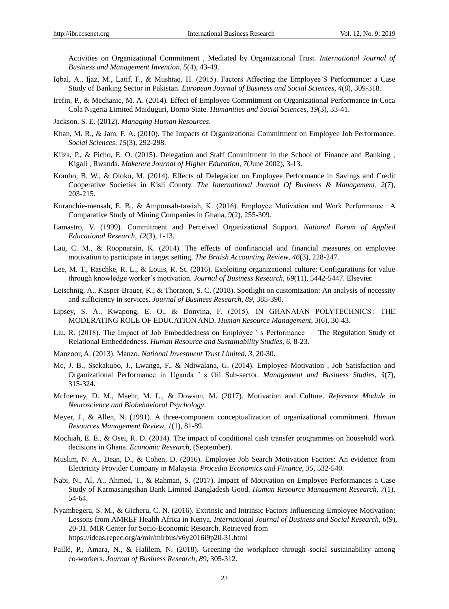Activities on Organizational Commitment , Mediated by Organizational Trust. *International Journal of Business and Management Invention*, *5*(4), 43-49.

- Iqbal, A., Ijaz, M., Latif, F., & Mushtaq, H. (2015). Factors Affecting the Employee'S Performance: a Case Study of Banking Sector in Pakistan. *European Journal of Business and Social Sciences*, *4*(8), 309-318.
- Irefin, P., & Mechanic, M. A. (2014). Effect of Employee Commitment on Organizational Performance in Coca Cola Nigeria Limited Maiduguri, Borno State. *Humanities and Social Sciences*, *19*(3), 33-41.
- Jackson, S. E. (2012). *Managing Human Resources*.
- Khan, M. R., & Jam, F. A. (2010). The Impacts of Organizational Commitment on Employee Job Performance. *Social Sciences*, *15*(3), 292-298.
- Kiiza, P., & Picho, E. O. (2015). Delegation and Staff Commitment in the School of Finance and Banking , Kigali , Rwanda. *Makerere Journal of Higher Education*, *7*(June 2002), 3-13.
- Kombo, B. W., & Oloko, M. (2014). Effects of Delegation on Employee Performance in Savings and Credit Cooperative Societies in Kisii County. *The International Journal Of Business & Management*, *2*(7), 203-215.
- Kuranchie-mensah, E. B., & Amponsah-tawiah, K. (2016). Employee Motivation and Work Performance : A Comparative Study of Mining Companies in Ghana, *9*(2), 255-309.
- Lamastro, V. (1999). Commitment and Perceived Organizational Support. *National Forum of Applied Educational Research*, *12*(3), 1-13.
- Lau, C. M., & Roopnarain, K. (2014). The effects of nonfinancial and financial measures on employee motivation to participate in target setting. *The British Accounting Review*, *46*(3), 228-247.
- Lee, M. T., Raschke, R. L., & Louis, R. St. (2016). Exploiting organizational culture: Configurations for value through knowledge worker's motivation. *Journal of Business Research*, *69*(11), 5442-5447. Elsevier.
- Leischnig, A., Kasper-Brauer, K., & Thornton, S. C. (2018). Spotlight on customization: An analysis of necessity and sufficiency in services. *Journal of Business Research*, *89*, 385-390.
- Lipsey, S. A., Kwapong, E. O., & Donyina, F. (2015). IN GHANAIAN POLYTECHNICS : THE MODERATING ROLE OF EDUCATION AND. *Human Resource Management*, *3*(6), 30-43.
- Liu, R. (2018). The Impact of Job Embeddedness on Employee ' s Performance The Regulation Study of Relational Embeddedness. *Human Resource and Sustainability Studies*, *6*, 8-23.
- Manzoor, A. (2013). Manzo. *National Investment Trust Limited*, *3*, 20-30.
- Mc, J. B., Ssekakubo, J., Lwanga, F., & Ndiwalana, G. (2014). Employee Motivation , Job Satisfaction and Organizational Performance in Uganda ' s Oil Sub-sector. *Management and Business Studies*, *3*(7), 315-324.
- McInerney, D. M., Maehr, M. L., & Dowson, M. (2017). Motivation and Culture. *Reference Module in Neuroscience and Biobehavioral Psychology*.
- Meyer, J., & Allen, N. (1991). A three-component conceptualization of organizational commitment. *Human Resources Management Review*, *1*(1), 81-89.
- Mochiah, E. E., & Osei, R. D. (2014). The impact of conditional cash transfer programmes on household work decisions in Ghana. *Economic Research*, (September).
- Muslim, N. A., Dean, D., & Cohen, D. (2016). Employee Job Search Motivation Factors: An evidence from Electricity Provider Company in Malaysia. *Procedia Economics and Finance*, *35*, 532-540.
- Nabi, N., Al, A., Ahmed, T., & Rahman, S. (2017). Impact of Motivation on Employee Performances a Case Study of Karmasangsthan Bank Limited Bangladesh Good. *Human Resource Management Research*, *7*(1), 54-64.
- Nyambegera, S. M., & Gicheru, C. N. (2016). Extrinsic and Intrinsic Factors Influencing Employee Motivation: Lessons from AMREF Health Africa in Kenya. *International Journal of Business and Social Research*, *6*(9), 20-31. MIR Center for Socio-Economic Research. Retrieved from https://ideas.repec.org/a/mir/mirbus/v6y2016i9p20-31.html
- Paillé, P., Amara, N., & Halilem, N. (2018). Greening the workplace through social sustainability among co-workers. *Journal of Business Research*, *89*, 305-312.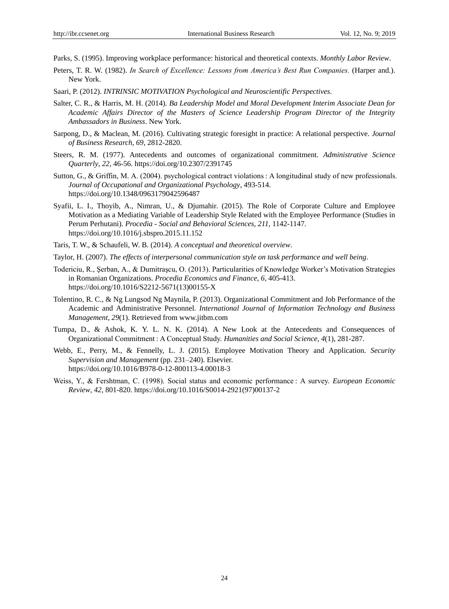Parks, S. (1995). Improving workplace performance: historical and theoretical contexts. *Monthly Labor Review*.

- Peters, T. R. W. (1982). *In Search of Excellence: Lessons from America's Best Run Companies.* (Harper and.). New York.
- Saari, P. (2012). *INTRINSIC MOTIVATION Psychological and Neuroscientific Perspectives*.
- Salter, C. R., & Harris, M. H. (2014). *Ba Leadership Model and Moral Development Interim Associate Dean for Academic Affairs Director of the Masters of Science Leadership Program Director of the Integrity Ambassadors in Business*. New York.
- Sarpong, D., & Maclean, M. (2016). Cultivating strategic foresight in practice: A relational perspective. *Journal of Business Research*, *69*, 2812-2820.
- Steers, R. M. (1977). Antecedents and outcomes of organizational commitment. *Administrative Science Quarterly*, *22*, 46-56. https://doi.org/10.2307/2391745
- Sutton, G., & Griffin, M. A. (2004). psychological contract violations : A longitudinal study of new professionals. *Journal of Occupational and Organizational Psychology*, 493-514. https://doi.org/10.1348/0963179042596487
- Syafii, L. I., Thoyib, A., Nimran, U., & Djumahir. (2015). The Role of Corporate Culture and Employee Motivation as a Mediating Variable of Leadership Style Related with the Employee Performance (Studies in Perum Perhutani). *Procedia - Social and Behavioral Sciences*, *211*, 1142-1147. https://doi.org/10.1016/j.sbspro.2015.11.152
- Taris, T. W., & Schaufeli, W. B. (2014). *A conceptual and theoretical overview*.
- Taylor, H. (2007). *The effects of interpersonal communication style on task performance and well being*.
- Todericiu, R., Şerban, A., & Dumitraşcu, O. (2013). Particularities of Knowledge Worker's Motivation Strategies in Romanian Organizations. *Procedia Economics and Finance*, *6*, 405-413. https://doi.org/10.1016/S2212-5671(13)00155-X
- Tolentino, R. C., & Ng Lungsod Ng Maynila, P. (2013). Organizational Commitment and Job Performance of the Academic and Administrative Personnel. *International Journal of Information Technology and Business Management*, *29*(1). Retrieved from www.jitbm.com
- Tumpa, D., & Ashok, K. Y. L. N. K. (2014). A New Look at the Antecedents and Consequences of Organizational Commitment : A Conceptual Study. *Humanities and Social Science*, *4*(1), 281-287.
- Webb, E., Perry, M., & Fennelly, L. J. (2015). Employee Motivation Theory and Application. *Security Supervision and Management* (pp. 231–240). Elsevier. https://doi.org/10.1016/B978-0-12-800113-4.00018-3
- Weiss, Y., & Fershtman, C. (1998). Social status and economic performance : A survey. *European Economic Review*, *42*, 801-820. https://doi.org/10.1016/S0014-2921(97)00137-2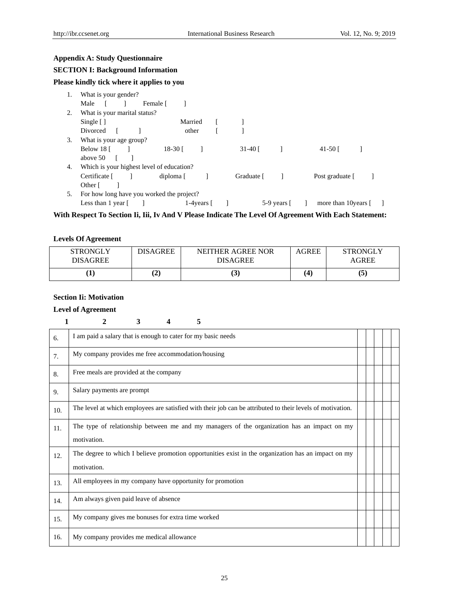## **Appendix A: Study Questionnaire**

## **SECTION I: Background Information**

## **Please kindly tick where it applies to you**

| 1. | What is your gender?                      |                    |                |                    |                      |  |
|----|-------------------------------------------|--------------------|----------------|--------------------|----------------------|--|
|    | Male<br>Female [                          |                    |                |                    |                      |  |
| 2. | What is your marital status?              |                    |                |                    |                      |  |
|    | Single $\lceil \cdot \rceil$              | Married            |                |                    |                      |  |
|    | Divorced                                  | other              |                |                    |                      |  |
| 3. | What is your age group?                   |                    |                |                    |                      |  |
|    | Below $18$ [ ]                            | 18-30 [            | 31-40 $\lceil$ |                    | 41-50 $\Gamma$       |  |
|    | above 50                                  |                    |                |                    |                      |  |
| 4. | Which is your highest level of education? |                    |                |                    |                      |  |
|    | Certificate [                             | diploma [          | Graduate [     |                    | Post graduate [      |  |
|    | Other [                                   |                    |                |                    |                      |  |
| 5. | For how long have you worked the project? |                    |                |                    |                      |  |
|    | Less than 1 year [                        | 1-4 years $\lceil$ |                | 5-9 years $\lceil$ | more than 10 years [ |  |

**With Respect To Section Ii, Iii, Iv And V Please Indicate The Level Of Agreement With Each Statement:**

## **Levels Of Agreement**

| <b>STRONGLY</b><br>DISAGREE | <b>DISAGREE</b> | NEITHER AGREE NOR<br><b>DISAGREE</b> | <b>AGREE</b> | <b>STRONGLY</b><br>AGREE |
|-----------------------------|-----------------|--------------------------------------|--------------|--------------------------|
|                             | (2              | IJ.                                  | $\lambda$    | (5                       |

## **Section Ii: Motivation**

## **Level of Agreement**

|--|--|--|--|--|

| 6.             | I am paid a salary that is enough to cater for my basic needs                                              |  |  |  |
|----------------|------------------------------------------------------------------------------------------------------------|--|--|--|
| 7 <sub>1</sub> | My company provides me free accommodation/housing                                                          |  |  |  |
| 8.             | Free meals are provided at the company                                                                     |  |  |  |
| 9.             | Salary payments are prompt                                                                                 |  |  |  |
| 10.            | The level at which employees are satisfied with their job can be attributed to their levels of motivation. |  |  |  |
| 11.            | The type of relationship between me and my managers of the organization has an impact on my                |  |  |  |
|                | motivation.                                                                                                |  |  |  |
| 12.            | The degree to which I believe promotion opportunities exist in the organization has an impact on my        |  |  |  |
|                | motivation.                                                                                                |  |  |  |
| 13.            | All employees in my company have opportunity for promotion                                                 |  |  |  |
| 14.            | Am always given paid leave of absence                                                                      |  |  |  |
| 15.            | My company gives me bonuses for extra time worked                                                          |  |  |  |
| 16.            | My company provides me medical allowance                                                                   |  |  |  |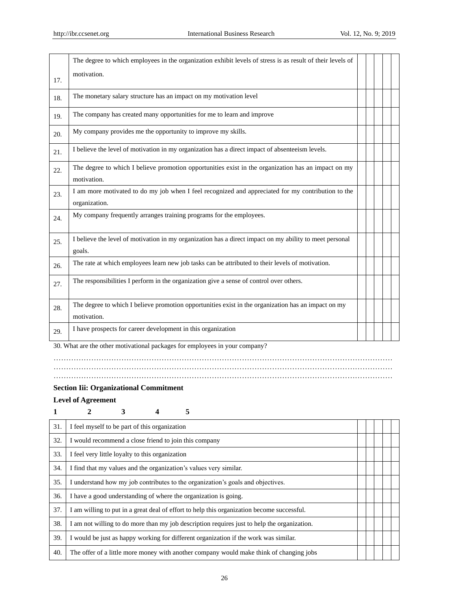|     | The degree to which employees in the organization exhibit levels of stress is as result of their levels of          |  |  |  |
|-----|---------------------------------------------------------------------------------------------------------------------|--|--|--|
| 17. | motivation.                                                                                                         |  |  |  |
| 18. | The monetary salary structure has an impact on my motivation level                                                  |  |  |  |
| 19. | The company has created many opportunities for me to learn and improve                                              |  |  |  |
| 20. | My company provides me the opportunity to improve my skills.                                                        |  |  |  |
| 21. | I believe the level of motivation in my organization has a direct impact of absenteeism levels.                     |  |  |  |
| 22. | The degree to which I believe promotion opportunities exist in the organization has an impact on my<br>motivation.  |  |  |  |
| 23. | I am more motivated to do my job when I feel recognized and appreciated for my contribution to the<br>organization. |  |  |  |
| 24. | My company frequently arranges training programs for the employees.                                                 |  |  |  |
| 25. | I believe the level of motivation in my organization has a direct impact on my ability to meet personal<br>goals.   |  |  |  |
| 26. | The rate at which employees learn new job tasks can be attributed to their levels of motivation.                    |  |  |  |
| 27. | The responsibilities I perform in the organization give a sense of control over others.                             |  |  |  |
| 28. | The degree to which I believe promotion opportunities exist in the organization has an impact on my<br>motivation.  |  |  |  |
| 29. | I have prospects for career development in this organization                                                        |  |  |  |

30. What are the other motivational packages for employees in your company?

………………………………………………………………………………………………………………………

………………………………………………………………………………………………………………………

………………………………………………………………………………………………………………………

## **Section Iii: Organizational Commitment**

#### **Level of Agreement**

| 5                                                                                           |  |  |  |  |  |
|---------------------------------------------------------------------------------------------|--|--|--|--|--|
| I feel myself to be part of this organization                                               |  |  |  |  |  |
| I would recommend a close friend to join this company                                       |  |  |  |  |  |
| I feel very little loyalty to this organization                                             |  |  |  |  |  |
| I find that my values and the organization's values very similar.                           |  |  |  |  |  |
| I understand how my job contributes to the organization's goals and objectives.             |  |  |  |  |  |
| I have a good understanding of where the organization is going.                             |  |  |  |  |  |
| I am willing to put in a great deal of effort to help this organization become successful.  |  |  |  |  |  |
| I am not willing to do more than my job description requires just to help the organization. |  |  |  |  |  |
| I would be just as happy working for different organization if the work was similar.        |  |  |  |  |  |
| The offer of a little more money with another company would make think of changing jobs     |  |  |  |  |  |
|                                                                                             |  |  |  |  |  |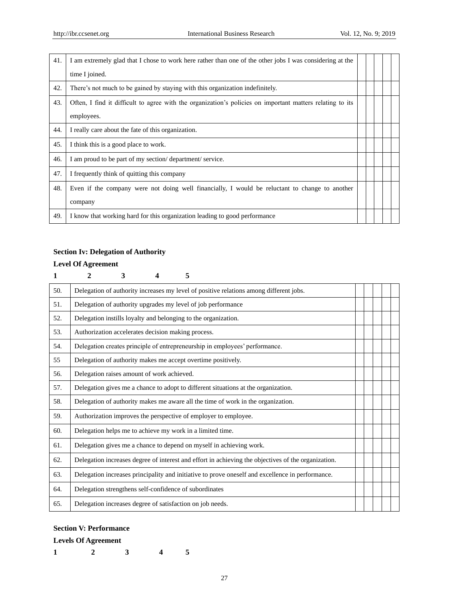| 41. | I am extremely glad that I chose to work here rather than one of the other jobs I was considering at the  |  |  |  |
|-----|-----------------------------------------------------------------------------------------------------------|--|--|--|
|     | time I joined.                                                                                            |  |  |  |
| 42. | There's not much to be gained by staying with this organization indefinitely.                             |  |  |  |
| 43. | Often, I find it difficult to agree with the organization's policies on important matters relating to its |  |  |  |
|     | employees.                                                                                                |  |  |  |
| 44. | I really care about the fate of this organization.                                                        |  |  |  |
| 45. | I think this is a good place to work.                                                                     |  |  |  |
| 46. | I am proud to be part of my section/department/service.                                                   |  |  |  |
| 47. | I frequently think of quitting this company                                                               |  |  |  |
| 48. | Even if the company were not doing well financially, I would be reluctant to change to another            |  |  |  |
|     | company                                                                                                   |  |  |  |
| 49. | I know that working hard for this organization leading to good performance                                |  |  |  |

# **Section Iv: Delegation of Authority**

# **Level Of Agreement**

| 1   | $\mathbf{2}$                                                                       | 3                                                               | 4 | 5 |                                                                                                     |  |  |  |
|-----|------------------------------------------------------------------------------------|-----------------------------------------------------------------|---|---|-----------------------------------------------------------------------------------------------------|--|--|--|
| 50. |                                                                                    |                                                                 |   |   | Delegation of authority increases my level of positive relations among different jobs.              |  |  |  |
| 51. |                                                                                    |                                                                 |   |   | Delegation of authority upgrades my level of job performance                                        |  |  |  |
| 52. |                                                                                    | Delegation instills loyalty and belonging to the organization.  |   |   |                                                                                                     |  |  |  |
| 53. | Authorization accelerates decision making process.                                 |                                                                 |   |   |                                                                                                     |  |  |  |
| 54. |                                                                                    |                                                                 |   |   | Delegation creates principle of entrepreneurship in employees' performance.                         |  |  |  |
| 55  |                                                                                    |                                                                 |   |   | Delegation of authority makes me accept overtime positively.                                        |  |  |  |
| 56. | Delegation raises amount of work achieved.                                         |                                                                 |   |   |                                                                                                     |  |  |  |
| 57. | Delegation gives me a chance to adopt to different situations at the organization. |                                                                 |   |   |                                                                                                     |  |  |  |
| 58. |                                                                                    |                                                                 |   |   | Delegation of authority makes me aware all the time of work in the organization.                    |  |  |  |
| 59. |                                                                                    | Authorization improves the perspective of employer to employee. |   |   |                                                                                                     |  |  |  |
| 60. | Delegation helps me to achieve my work in a limited time.                          |                                                                 |   |   |                                                                                                     |  |  |  |
| 61. |                                                                                    |                                                                 |   |   | Delegation gives me a chance to depend on myself in achieving work.                                 |  |  |  |
| 62. |                                                                                    |                                                                 |   |   | Delegation increases degree of interest and effort in achieving the objectives of the organization. |  |  |  |
| 63. |                                                                                    |                                                                 |   |   | Delegation increases principality and initiative to prove oneself and excellence in performance.    |  |  |  |
| 64. | Delegation strengthens self-confidence of subordinates                             |                                                                 |   |   |                                                                                                     |  |  |  |
| 65. | Delegation increases degree of satisfaction on job needs.                          |                                                                 |   |   |                                                                                                     |  |  |  |

# **Section V: Performance**

## **Levels Of Agreement**

|  |  | -<br>. . |
|--|--|----------|
|  |  | . .<br>- |